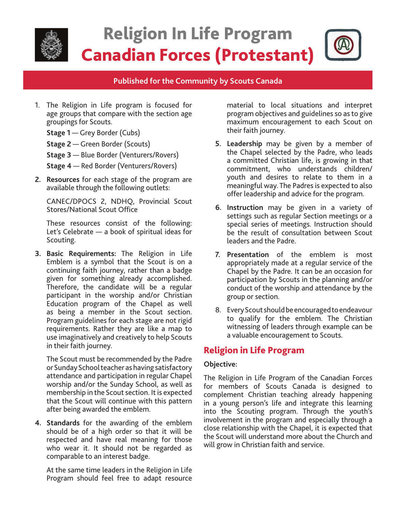

# Religion In Life Program Canadian Forces (Protestant)

#### **Published for the Community by Scouts Canada**

- 1. The Religion in Life program is focused for age groups that compare with the section age groupings for Scouts.
	- **Stage 1** Grey Border (Cubs)
	- **Stage 2**  Green Border (Scouts)
	- **Stage 3**  Blue Border (Venturers/Rovers)
	- **Stage 4**  Red Border (Venturers/Rovers)
- **2. Resources** for each stage of the program are available through the following outlets:

CANEC/DPOCS 2, NDHQ, Provincial Scout Stores/National Scout Office

These resources consist of the following: Let's Celebrate — a book of spiritual ideas for Scouting.

**3. Basic Requirements:** The Religion in Life Emblem is a symbol that the Scout is on a continuing faith journey, rather than a badge given for something already accomplished. Therefore, the candidate will be a regular participant in the worship and/or Christian Education program of the Chapel as well as being a member in the Scout section. Program guidelines for each stage are not rigid requirements. Rather they are like a map to use imaginatively and creatively to help Scouts in their faith journey.

The Scout must be recommended by the Padre or Sunday School teacher as having satisfactory attendance and participation in regular Chapel worship and/or the Sunday School, as well as membership in the Scout section. It is expected that the Scout will continue with this pattern after being awarded the emblem.

**4. Standards** for the awarding of the emblem should be of a high order so that it will be respected and have real meaning for those who wear it. It should not be regarded as comparable to an interest badge.

At the same time leaders in the Religion in Life Program should feel free to adapt resource material to local situations and interpret program objectives and guidelines so as to give maximum encouragement to each Scout on their faith journey.

- **5. Leadership** may be given by a member of the Chapel selected by the Padre, who leads a committed Christian life, is growing in that commitment, who understands children/ youth and desires to relate to them in a meaningful way. The Padres is expected to also offer leadership and advice for the program.
- **6. Instruction** may be given in a variety of settings such as regular Section meetings or a special series of meetings. Instruction should be the result of consultation between Scout leaders and the Padre.
- **7. Presentation** of the emblem is most appropriately made at a regular service of the Chapel by the Padre. It can be an occasion for participation by Scouts in the planning and/or conduct of the worship and attendance by the group or section.
- 8. Every Scout should be encouraged to endeavour to qualify for the emblem. The Christian witnessing of leaders through example can be a valuable encouragement to Scouts.

## Religion in Life Program

#### **Objective:**

The Religion in Life Program of the Canadian Forces for members of Scouts Canada is designed to complement Christian teaching already happening in a young person's life and integrate this learning into the Scouting program. Through the youth's involvement in the program and especially through a close relationship with the Chapel, it is expected that the Scout will understand more about the Church and will grow in Christian faith and service.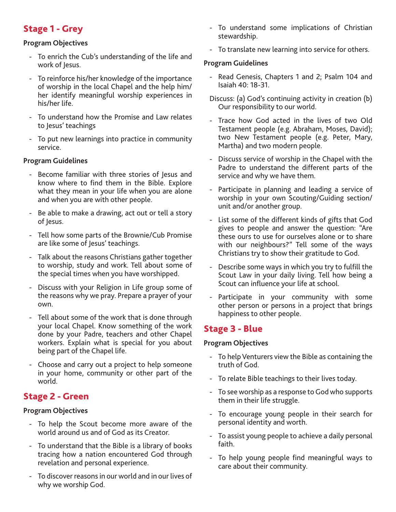# Stage 1 - Grey

#### **Program Objectives**

- To enrich the Cub's understanding of the life and work of Jesus.
- To reinforce his/her knowledge of the importance of worship in the local Chapel and the help him/ her identify meaningful worship experiences in his/her life.
- To understand how the Promise and Law relates to Jesus' teachings
- To put new learnings into practice in community service.

#### **Program Guidelines**

- Become familiar with three stories of Jesus and know where to find them in the Bible. Explore what they mean in your life when you are alone and when you are with other people.
- Be able to make a drawing, act out or tell a story of Jesus.
- Tell how some parts of the Brownie/Cub Promise are like some of Jesus' teachings.
- Talk about the reasons Christians gather together to worship, study and work. Tell about some of the special times when you have worshipped.
- Discuss with your Religion in Life group some of the reasons why we pray. Prepare a prayer of your own.
- Tell about some of the work that is done through your local Chapel. Know something of the work done by your Padre, teachers and other Chapel workers. Explain what is special for you about being part of the Chapel life.
- Choose and carry out a project to help someone in your home, community or other part of the world.

# Stage 2 - Green

#### **Program Objectives**

- To help the Scout become more aware of the world around us and of God as its Creator.
- To understand that the Bible is a library of books tracing how a nation encountered God through revelation and personal experience.
- To discover reasons in our world and in our lives of why we worship God.
- To understand some implications of Christian stewardship.
- To translate new learning into service for others.

#### **Program Guidelines**

- Read Genesis, Chapters 1 and 2; Psalm 104 and Isaiah 40: 18-31.
- Discuss: (a) God's continuing activity in creation (b) Our responsibility to our world.
- Trace how God acted in the lives of two Old Testament people (e.g. Abraham, Moses, David); two New Testament people (e.g. Peter, Mary, Martha) and two modern people.
- Discuss service of worship in the Chapel with the Padre to understand the different parts of the service and why we have them.
- Participate in planning and leading a service of worship in your own Scouting/Guiding section/ unit and/or another group.
- List some of the different kinds of gifts that God gives to people and answer the question: "Are these ours to use for ourselves alone or to share with our neighbours?" Tell some of the ways Christians try to show their gratitude to God.
- Describe some ways in which you try to fulfill the Scout Law in your daily living. Tell how being a Scout can influence your life at school.
- Participate in your community with some other person or persons in a project that brings happiness to other people.

## Stage 3 - Blue

#### **Program Objectives**

- To help Venturers view the Bible as containing the truth of God.
- To relate Bible teachings to their lives today.
- To see worship as a response to God who supports them in their life struggle.
- To encourage young people in their search for personal identity and worth.
- To assist young people to achieve a daily personal faith.
- To help young people find meaningful ways to care about their community.